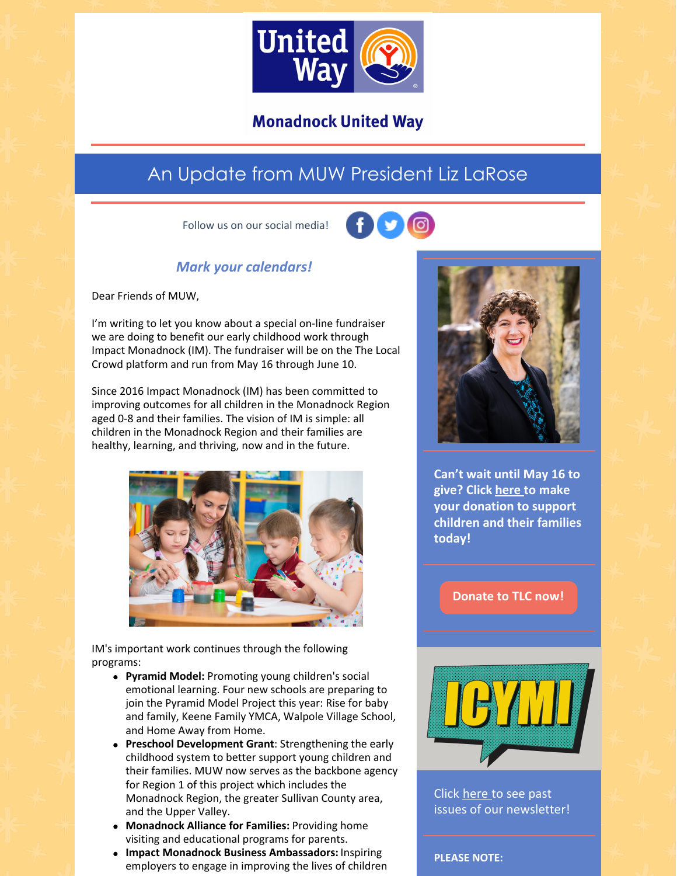

### **Monadnock United Way**

## An Update from MUW President Liz LaRose

Follow us on our social media!



#### *Mark your calendars!*

Dear Friends of MUW,

I'm writing to let you know about a special on-line fundraiser we are doing to benefit our early childhood work through Impact Monadnock (IM). The fundraiser will be on the The Local Crowd platform and run from May 16 through June 10.

Since 2016 Impact Monadnock (IM) has been committed to improving outcomes for all children in the Monadnock Region aged 0-8 and their families. The vision of IM is simple: all children in the Monadnock Region and their families are healthy, learning, and thriving, now and in the future.



IM's important work continues through the following programs:

- **Pyramid Model:** Promoting young children's social emotional learning. Four new schools are preparing to join the Pyramid Model Project this year: Rise for baby and family, Keene Family YMCA, Walpole Village School, and Home Away from Home.
- **Preschool Development Grant**: Strengthening the early childhood system to better support young children and their families. MUW now serves as the backbone agency for Region 1 of this project which includes the Monadnock Region, the greater Sullivan County area, and the Upper Valley.
- **Monadnock Alliance for Families:** Providing home visiting and educational programs for parents.
- **Impact Monadnock Business Ambassadors:** Inspiring employers to engage in improving the lives of children



**Can't wait until May 16 to give? Click [here](https://app.mobilecause.com/form/ZRKvlQ?reset=1&%253Bid=1&vid=rc9x1) to make your donation to support children and their families today!**

#### **[Donate](https://app.mobilecause.com/form/ZRKvlQ?reset=1&%253Bid=1&vid=rc9x1) to TLC now!**



Click [here](https://www.muw.org/news/newsletters) to see past issues of our newsletter!

**PLEASE NOTE:**